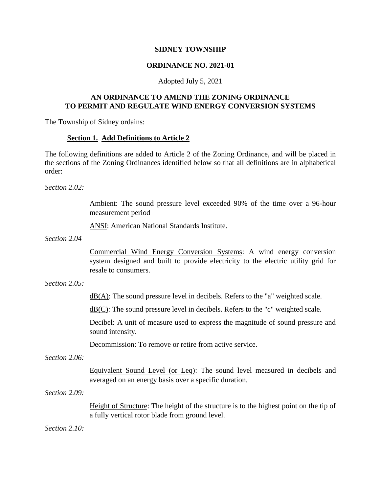### **SIDNEY TOWNSHIP**

## **ORDINANCE NO. 2021-01**

#### Adopted July 5, 2021

### **AN ORDINANCE TO AMEND THE ZONING ORDINANCE TO PERMIT AND REGULATE WIND ENERGY CONVERSION SYSTEMS**

The Township of Sidney ordains:

### **Section 1. Add Definitions to Article 2**

The following definitions are added to Article 2 of the Zoning Ordinance, and will be placed in the sections of the Zoning Ordinances identified below so that all definitions are in alphabetical order:

*Section 2.02:*

Ambient: The sound pressure level exceeded 90% of the time over a 96-hour measurement period

ANSI: American National Standards Institute.

*Section 2.04*

Commercial Wind Energy Conversion Systems: A wind energy conversion system designed and built to provide electricity to the electric utility grid for resale to consumers.

#### *Section 2.05:*

 $dB(A)$ : The sound pressure level in decibels. Refers to the "a" weighted scale.

 $dB(C)$ : The sound pressure level in decibels. Refers to the "c" weighted scale.

Decibel: A unit of measure used to express the magnitude of sound pressure and sound intensity.

Decommission: To remove or retire from active service.

*Section 2.06:*

Equivalent Sound Level (or Leq): The sound level measured in decibels and averaged on an energy basis over a specific duration.

*Section 2.09:*

Height of Structure: The height of the structure is to the highest point on the tip of a fully vertical rotor blade from ground level.

*Section 2.10:*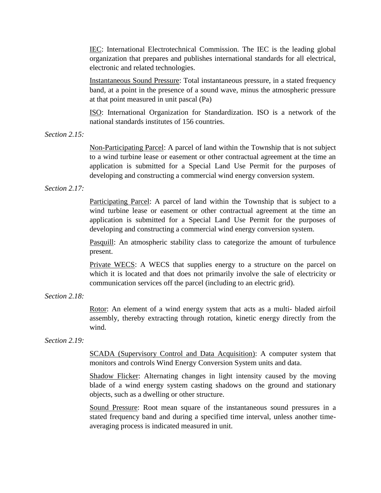IEC: International Electrotechnical Commission. The IEC is the leading global organization that prepares and publishes international standards for all electrical, electronic and related technologies.

Instantaneous Sound Pressure: Total instantaneous pressure, in a stated frequency band, at a point in the presence of a sound wave, minus the atmospheric pressure at that point measured in unit pascal (Pa)

ISO: International Organization for Standardization. ISO is a network of the national standards institutes of 156 countries.

*Section 2.15:*

Non-Participating Parcel: A parcel of land within the Township that is not subject to a wind turbine lease or easement or other contractual agreement at the time an application is submitted for a Special Land Use Permit for the purposes of developing and constructing a commercial wind energy conversion system.

*Section 2.17:*

Participating Parcel: A parcel of land within the Township that is subject to a wind turbine lease or easement or other contractual agreement at the time an application is submitted for a Special Land Use Permit for the purposes of developing and constructing a commercial wind energy conversion system.

Pasquill: An atmospheric stability class to categorize the amount of turbulence present.

Private WECS: A WECS that supplies energy to a structure on the parcel on which it is located and that does not primarily involve the sale of electricity or communication services off the parcel (including to an electric grid).

*Section 2.18:*

Rotor: An element of a wind energy system that acts as a multi- bladed airfoil assembly, thereby extracting through rotation, kinetic energy directly from the wind.

*Section 2.19:*

SCADA (Supervisory Control and Data Acquisition): A computer system that monitors and controls Wind Energy Conversion System units and data.

Shadow Flicker: Alternating changes in light intensity caused by the moving blade of a wind energy system casting shadows on the ground and stationary objects, such as a dwelling or other structure.

Sound Pressure: Root mean square of the instantaneous sound pressures in a stated frequency band and during a specified time interval, unless another timeaveraging process is indicated measured in unit.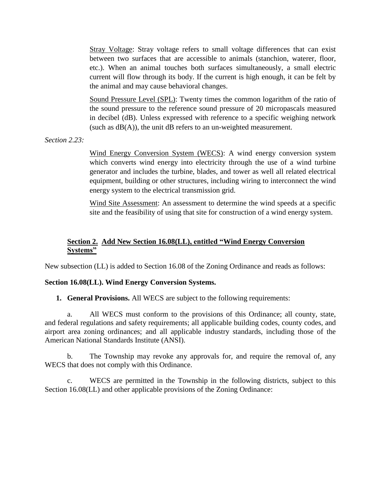Stray Voltage: Stray voltage refers to small voltage differences that can exist between two surfaces that are accessible to animals (stanchion, waterer, floor, etc.). When an animal touches both surfaces simultaneously, a small electric current will flow through its body. If the current is high enough, it can be felt by the animal and may cause behavioral changes.

Sound Pressure Level (SPL): Twenty times the common logarithm of the ratio of the sound pressure to the reference sound pressure of 20 micropascals measured in decibel (dB). Unless expressed with reference to a specific weighing network (such as  $dB(A)$ ), the unit dB refers to an un-weighted measurement.

*Section 2.23:*

Wind Energy Conversion System (WECS): A wind energy conversion system which converts wind energy into electricity through the use of a wind turbine generator and includes the turbine, blades, and tower as well all related electrical equipment, building or other structures, including wiring to interconnect the wind energy system to the electrical transmission grid.

Wind Site Assessment: An assessment to determine the wind speeds at a specific site and the feasibility of using that site for construction of a wind energy system.

# **Section 2. Add New Section 16.08(LL), entitled "Wind Energy Conversion Systems"**

New subsection (LL) is added to Section 16.08 of the Zoning Ordinance and reads as follows:

# **Section 16.08(LL). Wind Energy Conversion Systems.**

**1. General Provisions.** All WECS are subject to the following requirements:

a. All WECS must conform to the provisions of this Ordinance; all county, state, and federal regulations and safety requirements; all applicable building codes, county codes, and airport area zoning ordinances; and all applicable industry standards, including those of the American National Standards Institute (ANSI).

b. The Township may revoke any approvals for, and require the removal of, any WECS that does not comply with this Ordinance.

c. WECS are permitted in the Township in the following districts, subject to this Section 16.08(LL) and other applicable provisions of the Zoning Ordinance: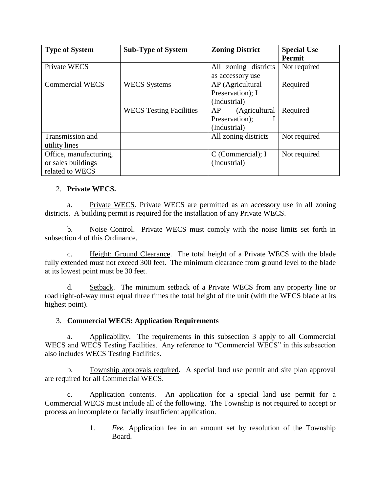| <b>Type of System</b>  | <b>Sub-Type of System</b>      | <b>Zoning District</b>  | <b>Special Use</b><br><b>Permit</b> |
|------------------------|--------------------------------|-------------------------|-------------------------------------|
| Private WECS           |                                | zoning districts<br>All | Not required                        |
|                        |                                | as accessory use        |                                     |
| <b>Commercial WECS</b> | <b>WECS Systems</b>            | AP (Agricultural        | Required                            |
|                        |                                | Preservation); I        |                                     |
|                        |                                | (Industrial)            |                                     |
|                        | <b>WECS</b> Testing Facilities | (Agricultural<br>AP     | Required                            |
|                        |                                | Preservation);          |                                     |
|                        |                                | (Industrial)            |                                     |
| Transmission and       |                                | All zoning districts    | Not required                        |
| utility lines          |                                |                         |                                     |
| Office, manufacturing, |                                | $C$ (Commercial); I     | Not required                        |
| or sales buildings     |                                | (Industrial)            |                                     |
| related to WECS        |                                |                         |                                     |

## 2. **Private WECS.**

a. Private WECS. Private WECS are permitted as an accessory use in all zoning districts. A building permit is required for the installation of any Private WECS.

b. Noise Control. Private WECS must comply with the noise limits set forth in subsection 4 of this Ordinance.

c. Height; Ground Clearance. The total height of a Private WECS with the blade fully extended must not exceed 300 feet. The minimum clearance from ground level to the blade at its lowest point must be 30 feet.

d. Setback. The minimum setback of a Private WECS from any property line or road right-of-way must equal three times the total height of the unit (with the WECS blade at its highest point).

## 3. **Commercial WECS: Application Requirements**

a. Applicability. The requirements in this subsection 3 apply to all Commercial WECS and WECS Testing Facilities. Any reference to "Commercial WECS" in this subsection also includes WECS Testing Facilities.

b. Township approvals required. A special land use permit and site plan approval are required for all Commercial WECS.

c. Application contents. An application for a special land use permit for a Commercial WECS must include all of the following. The Township is not required to accept or process an incomplete or facially insufficient application.

> 1. *Fee.* Application fee in an amount set by resolution of the Township Board.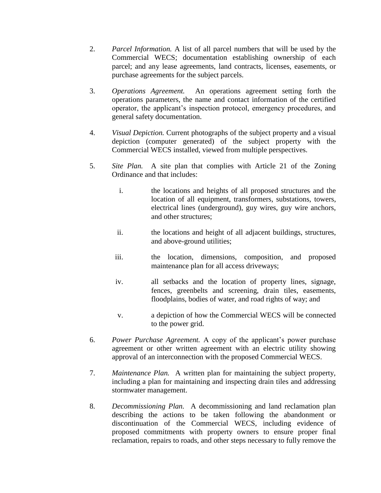- 2. *Parcel Information.* A list of all parcel numbers that will be used by the Commercial WECS; documentation establishing ownership of each parcel; and any lease agreements, land contracts, licenses, easements, or purchase agreements for the subject parcels.
- 3. *Operations Agreement.* An operations agreement setting forth the operations parameters, the name and contact information of the certified operator, the applicant's inspection protocol, emergency procedures, and general safety documentation.
- 4. *Visual Depiction.* Current photographs of the subject property and a visual depiction (computer generated) of the subject property with the Commercial WECS installed, viewed from multiple perspectives.
- 5. *Site Plan.* A site plan that complies with Article 21 of the Zoning Ordinance and that includes:
	- i. the locations and heights of all proposed structures and the location of all equipment, transformers, substations, towers, electrical lines (underground), guy wires, guy wire anchors, and other structures;
	- ii. the locations and height of all adjacent buildings, structures, and above-ground utilities;
	- iii. the location, dimensions, composition, and proposed maintenance plan for all access driveways;
	- iv. all setbacks and the location of property lines, signage, fences, greenbelts and screening, drain tiles, easements, floodplains, bodies of water, and road rights of way; and
	- v. a depiction of how the Commercial WECS will be connected to the power grid.
- 6. *Power Purchase Agreement.* A copy of the applicant's power purchase agreement or other written agreement with an electric utility showing approval of an interconnection with the proposed Commercial WECS.
- 7. *Maintenance Plan.* A written plan for maintaining the subject property, including a plan for maintaining and inspecting drain tiles and addressing stormwater management.
- 8. *Decommissioning Plan.* A decommissioning and land reclamation plan describing the actions to be taken following the abandonment or discontinuation of the Commercial WECS, including evidence of proposed commitments with property owners to ensure proper final reclamation, repairs to roads, and other steps necessary to fully remove the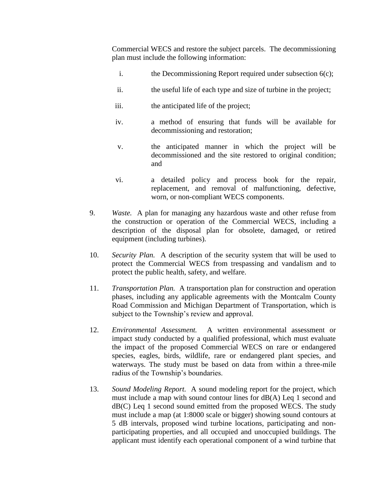Commercial WECS and restore the subject parcels. The decommissioning plan must include the following information:

- i. the Decommissioning Report required under subsection 6(c);
- ii. the useful life of each type and size of turbine in the project;
- iii. the anticipated life of the project;
- iv. a method of ensuring that funds will be available for decommissioning and restoration;
- v. the anticipated manner in which the project will be decommissioned and the site restored to original condition; and
- vi. a detailed policy and process book for the repair, replacement, and removal of malfunctioning, defective, worn, or non-compliant WECS components.
- 9. *Waste.* A plan for managing any hazardous waste and other refuse from the construction or operation of the Commercial WECS, including a description of the disposal plan for obsolete, damaged, or retired equipment (including turbines).
- 10. *Security Plan.* A description of the security system that will be used to protect the Commercial WECS from trespassing and vandalism and to protect the public health, safety, and welfare.
- 11. *Transportation Plan.* A transportation plan for construction and operation phases, including any applicable agreements with the Montcalm County Road Commission and Michigan Department of Transportation, which is subject to the Township's review and approval.
- 12. *Environmental Assessment.* A written environmental assessment or impact study conducted by a qualified professional, which must evaluate the impact of the proposed Commercial WECS on rare or endangered species, eagles, birds, wildlife, rare or endangered plant species, and waterways. The study must be based on data from within a three-mile radius of the Township's boundaries.
- 13. *Sound Modeling Report.* A sound modeling report for the project, which must include a map with sound contour lines for dB(A) Leq 1 second and dB(C) Leq 1 second sound emitted from the proposed WECS. The study must include a map (at 1:8000 scale or bigger) showing sound contours at 5 dB intervals, proposed wind turbine locations, participating and nonparticipating properties, and all occupied and unoccupied buildings. The applicant must identify each operational component of a wind turbine that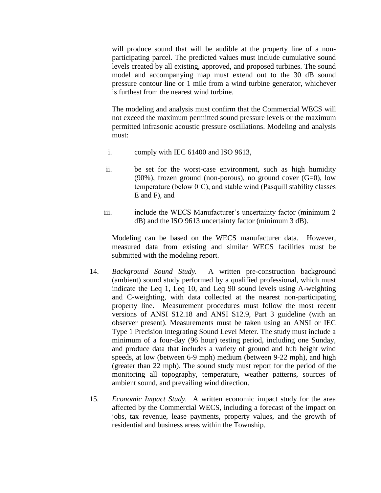will produce sound that will be audible at the property line of a nonparticipating parcel. The predicted values must include cumulative sound levels created by all existing, approved, and proposed turbines. The sound model and accompanying map must extend out to the 30 dB sound pressure contour line or 1 mile from a wind turbine generator, whichever is furthest from the nearest wind turbine.

The modeling and analysis must confirm that the Commercial WECS will not exceed the maximum permitted sound pressure levels or the maximum permitted infrasonic acoustic pressure oscillations. Modeling and analysis must:

- i. comply with IEC 61400 and ISO 9613,
- ii. be set for the worst-case environment, such as high humidity  $(90\%)$ , frozen ground (non-porous), no ground cover  $(G=0)$ , low temperature (below 0˚C), and stable wind (Pasquill stability classes E and F), and
- iii. include the WECS Manufacturer's uncertainty factor (minimum 2 dB) and the ISO 9613 uncertainty factor (minimum 3 dB).

Modeling can be based on the WECS manufacturer data. However, measured data from existing and similar WECS facilities must be submitted with the modeling report.

- 14. *Background Sound Study.* A written pre-construction background (ambient) sound study performed by a qualified professional, which must indicate the Leq 1, Leq 10, and Leq 90 sound levels using A-weighting and C-weighting, with data collected at the nearest non-participating property line. Measurement procedures must follow the most recent versions of ANSI S12.18 and ANSI S12.9, Part 3 guideline (with an observer present). Measurements must be taken using an ANSI or IEC Type 1 Precision Integrating Sound Level Meter. The study must include a minimum of a four-day (96 hour) testing period, including one Sunday, and produce data that includes a variety of ground and hub height wind speeds, at low (between 6-9 mph) medium (between 9-22 mph), and high (greater than 22 mph). The sound study must report for the period of the monitoring all topography, temperature, weather patterns, sources of ambient sound, and prevailing wind direction.
- 15. *Economic Impact Study.* A written economic impact study for the area affected by the Commercial WECS, including a forecast of the impact on jobs, tax revenue, lease payments, property values, and the growth of residential and business areas within the Township.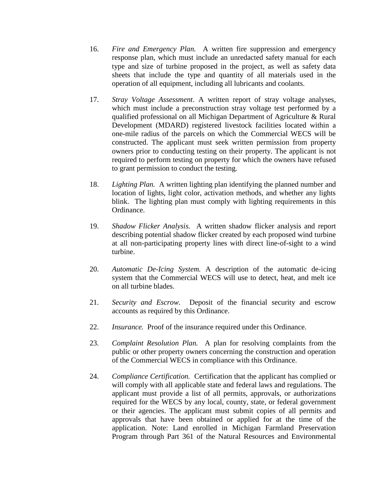- 16. *Fire and Emergency Plan.* A written fire suppression and emergency response plan, which must include an unredacted safety manual for each type and size of turbine proposed in the project, as well as safety data sheets that include the type and quantity of all materials used in the operation of all equipment, including all lubricants and coolants.
- 17. *Stray Voltage Assessment*. A written report of stray voltage analyses, which must include a preconstruction stray voltage test performed by a qualified professional on all Michigan Department of Agriculture & Rural Development (MDARD) registered livestock facilities located within a one-mile radius of the parcels on which the Commercial WECS will be constructed. The applicant must seek written permission from property owners prior to conducting testing on their property. The applicant is not required to perform testing on property for which the owners have refused to grant permission to conduct the testing.
- 18. *Lighting Plan.* A written lighting plan identifying the planned number and location of lights, light color, activation methods, and whether any lights blink. The lighting plan must comply with lighting requirements in this Ordinance.
- 19. *Shadow Flicker Analysis.* A written shadow flicker analysis and report describing potential shadow flicker created by each proposed wind turbine at all non-participating property lines with direct line-of-sight to a wind turbine.
- 20. *Automatic De-Icing System.* A description of the automatic de-icing system that the Commercial WECS will use to detect, heat, and melt ice on all turbine blades.
- 21. *Security and Escrow.* Deposit of the financial security and escrow accounts as required by this Ordinance.
- 22. *Insurance.* Proof of the insurance required under this Ordinance.
- 23. *Complaint Resolution Plan.* A plan for resolving complaints from the public or other property owners concerning the construction and operation of the Commercial WECS in compliance with this Ordinance.
- 24. *Compliance Certification.* Certification that the applicant has complied or will comply with all applicable state and federal laws and regulations. The applicant must provide a list of all permits, approvals, or authorizations required for the WECS by any local, county, state, or federal government or their agencies. The applicant must submit copies of all permits and approvals that have been obtained or applied for at the time of the application. Note: Land enrolled in Michigan Farmland Preservation Program through Part 361 of the Natural Resources and Environmental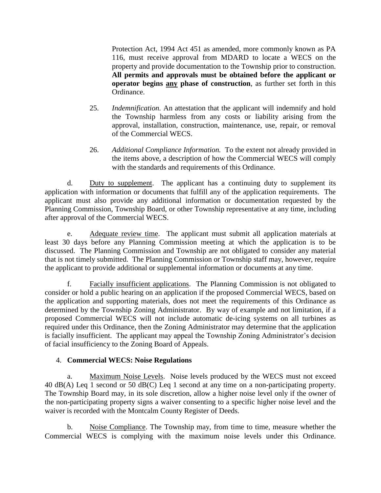Protection Act, 1994 Act 451 as amended, more commonly known as PA 116, must receive approval from MDARD to locate a WECS on the property and provide documentation to the Township prior to construction. **All permits and approvals must be obtained before the applicant or operator begins any phase of construction**, as further set forth in this Ordinance.

- 25. *Indemnification.* An attestation that the applicant will indemnify and hold the Township harmless from any costs or liability arising from the approval, installation, construction, maintenance, use, repair, or removal of the Commercial WECS.
- 26. *Additional Compliance Information.* To the extent not already provided in the items above, a description of how the Commercial WECS will comply with the standards and requirements of this Ordinance.

d. Duty to supplement. The applicant has a continuing duty to supplement its application with information or documents that fulfill any of the application requirements. The applicant must also provide any additional information or documentation requested by the Planning Commission, Township Board, or other Township representative at any time, including after approval of the Commercial WECS.

e. Adequate review time. The applicant must submit all application materials at least 30 days before any Planning Commission meeting at which the application is to be discussed. The Planning Commission and Township are not obligated to consider any material that is not timely submitted. The Planning Commission or Township staff may, however, require the applicant to provide additional or supplemental information or documents at any time.

f. Facially insufficient applications. The Planning Commission is not obligated to consider or hold a public hearing on an application if the proposed Commercial WECS, based on the application and supporting materials, does not meet the requirements of this Ordinance as determined by the Township Zoning Administrator. By way of example and not limitation, if a proposed Commercial WECS will not include automatic de-icing systems on all turbines as required under this Ordinance, then the Zoning Administrator may determine that the application is facially insufficient. The applicant may appeal the Township Zoning Administrator's decision of facial insufficiency to the Zoning Board of Appeals.

# 4. **Commercial WECS: Noise Regulations**

a. Maximum Noise Levels. Noise levels produced by the WECS must not exceed 40 dB(A) Leq 1 second or 50 dB(C) Leq 1 second at any time on a non-participating property. The Township Board may, in its sole discretion, allow a higher noise level only if the owner of the non-participating property signs a waiver consenting to a specific higher noise level and the waiver is recorded with the Montcalm County Register of Deeds.

b. Noise Compliance. The Township may, from time to time, measure whether the Commercial WECS is complying with the maximum noise levels under this Ordinance.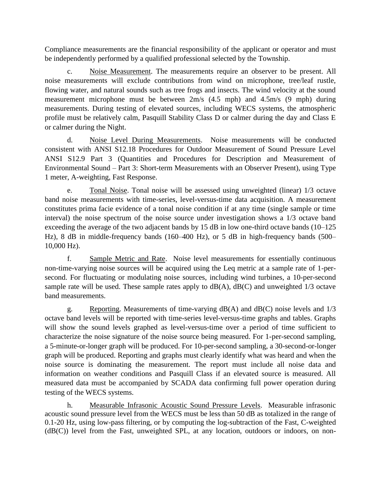Compliance measurements are the financial responsibility of the applicant or operator and must be independently performed by a qualified professional selected by the Township.

c. Noise Measurement. The measurements require an observer to be present. All noise measurements will exclude contributions from wind on microphone, tree/leaf rustle, flowing water, and natural sounds such as tree frogs and insects. The wind velocity at the sound measurement microphone must be between 2m/s (4.5 mph) and 4.5m/s (9 mph) during measurements. During testing of elevated sources, including WECS systems, the atmospheric profile must be relatively calm, Pasquill Stability Class D or calmer during the day and Class E or calmer during the Night.

d. Noise Level During Measurements. Noise measurements will be conducted consistent with ANSI S12.18 Procedures for Outdoor Measurement of Sound Pressure Level ANSI S12.9 Part 3 (Quantities and Procedures for Description and Measurement of Environmental Sound – Part 3: Short-term Measurements with an Observer Present), using Type 1 meter, A-weighting, Fast Response.

e. Tonal Noise. Tonal noise will be assessed using unweighted (linear) 1/3 octave band noise measurements with time-series, level-versus-time data acquisition. A measurement constitutes prima facie evidence of a tonal noise condition if at any time (single sample or time interval) the noise spectrum of the noise source under investigation shows a 1/3 octave band exceeding the average of the two adjacent bands by 15 dB in low one-third octave bands (10–125) Hz), 8 dB in middle-frequency bands (160–400 Hz), or 5 dB in high-frequency bands (500– 10,000 Hz).

f. Sample Metric and Rate. Noise level measurements for essentially continuous non-time-varying noise sources will be acquired using the Leq metric at a sample rate of 1-persecond. For fluctuating or modulating noise sources, including wind turbines, a 10-per-second sample rate will be used. These sample rates apply to  $dB(A)$ ,  $dB(C)$  and unweighted 1/3 octave band measurements.

g. Reporting. Measurements of time-varying  $dB(A)$  and  $dB(C)$  noise levels and  $1/3$ octave band levels will be reported with time-series level-versus-time graphs and tables. Graphs will show the sound levels graphed as level-versus-time over a period of time sufficient to characterize the noise signature of the noise source being measured. For 1-per-second sampling, a 5-minute-or-longer graph will be produced. For 10-per-second sampling, a 30-second-or-longer graph will be produced. Reporting and graphs must clearly identify what was heard and when the noise source is dominating the measurement. The report must include all noise data and information on weather conditions and Pasquill Class if an elevated source is measured. All measured data must be accompanied by SCADA data confirming full power operation during testing of the WECS systems.

h. Measurable Infrasonic Acoustic Sound Pressure Levels. Measurable infrasonic acoustic sound pressure level from the WECS must be less than 50 dB as totalized in the range of 0.1-20 Hz, using low-pass filtering, or by computing the log-subtraction of the Fast, C-weighted  $(dB(C))$  level from the Fast, unweighted SPL, at any location, outdoors or indoors, on non-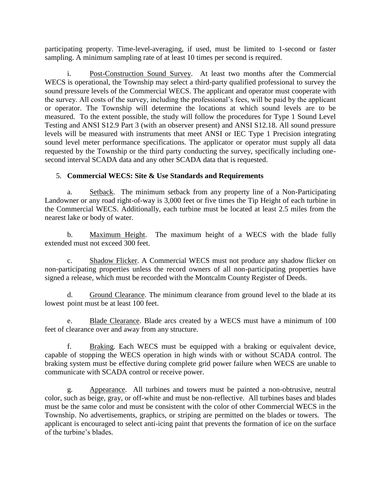participating property. Time-level-averaging, if used, must be limited to 1-second or faster sampling. A minimum sampling rate of at least 10 times per second is required.

i. Post-Construction Sound Survey. At least two months after the Commercial WECS is operational, the Township may select a third-party qualified professional to survey the sound pressure levels of the Commercial WECS. The applicant and operator must cooperate with the survey. All costs of the survey, including the professional's fees, will be paid by the applicant or operator. The Township will determine the locations at which sound levels are to be measured. To the extent possible, the study will follow the procedures for Type 1 Sound Level Testing and ANSI S12.9 Part 3 (with an observer present) and ANSI S12.18. All sound pressure levels will be measured with instruments that meet ANSI or IEC Type 1 Precision integrating sound level meter performance specifications. The applicator or operator must supply all data requested by the Township or the third party conducting the survey, specifically including onesecond interval SCADA data and any other SCADA data that is requested.

# 5. **Commercial WECS: Site & Use Standards and Requirements**

a. Setback. The minimum setback from any property line of a Non-Participating Landowner or any road right-of-way is 3,000 feet or five times the Tip Height of each turbine in the Commercial WECS. Additionally, each turbine must be located at least 2.5 miles from the nearest lake or body of water.

b. Maximum Height. The maximum height of a WECS with the blade fully extended must not exceed 300 feet.

c. Shadow Flicker. A Commercial WECS must not produce any shadow flicker on non-participating properties unless the record owners of all non-participating properties have signed a release, which must be recorded with the Montcalm County Register of Deeds.

d. Ground Clearance. The minimum clearance from ground level to the blade at its lowest point must be at least 100 feet.

e. Blade Clearance. Blade arcs created by a WECS must have a minimum of 100 feet of clearance over and away from any structure.

f. Braking. Each WECS must be equipped with a braking or equivalent device, capable of stopping the WECS operation in high winds with or without SCADA control. The braking system must be effective during complete grid power failure when WECS are unable to communicate with SCADA control or receive power.

g. Appearance. All turbines and towers must be painted a non-obtrusive, neutral color, such as beige, gray, or off-white and must be non-reflective. All turbines bases and blades must be the same color and must be consistent with the color of other Commercial WECS in the Township. No advertisements, graphics, or striping are permitted on the blades or towers. The applicant is encouraged to select anti-icing paint that prevents the formation of ice on the surface of the turbine's blades.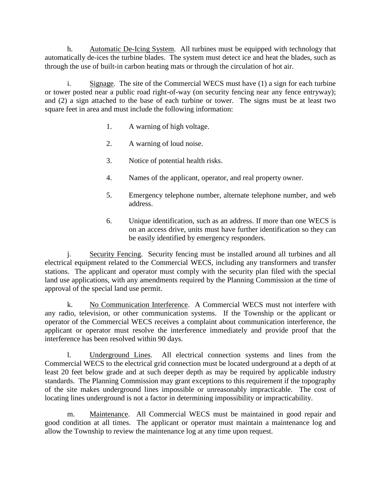h. Automatic De-Icing System. All turbines must be equipped with technology that automatically de-ices the turbine blades. The system must detect ice and heat the blades, such as through the use of built-in carbon heating mats or through the circulation of hot air.

i. Signage. The site of the Commercial WECS must have (1) a sign for each turbine or tower posted near a public road right-of-way (on security fencing near any fence entryway); and (2) a sign attached to the base of each turbine or tower. The signs must be at least two square feet in area and must include the following information:

- 1. A warning of high voltage.
- 2. A warning of loud noise.
- 3. Notice of potential health risks.
- 4. Names of the applicant, operator, and real property owner.
- 5. Emergency telephone number, alternate telephone number, and web address.
- 6. Unique identification, such as an address. If more than one WECS is on an access drive, units must have further identification so they can be easily identified by emergency responders.

j. Security Fencing. Security fencing must be installed around all turbines and all electrical equipment related to the Commercial WECS, including any transformers and transfer stations. The applicant and operator must comply with the security plan filed with the special land use applications, with any amendments required by the Planning Commission at the time of approval of the special land use permit.

k. No Communication Interference. A Commercial WECS must not interfere with any radio, television, or other communication systems. If the Township or the applicant or operator of the Commercial WECS receives a complaint about communication interference, the applicant or operator must resolve the interference immediately and provide proof that the interference has been resolved within 90 days.

l. Underground Lines. All electrical connection systems and lines from the Commercial WECS to the electrical grid connection must be located underground at a depth of at least 20 feet below grade and at such deeper depth as may be required by applicable industry standards. The Planning Commission may grant exceptions to this requirement if the topography of the site makes underground lines impossible or unreasonably impracticable. The cost of locating lines underground is not a factor in determining impossibility or impracticability.

m. Maintenance. All Commercial WECS must be maintained in good repair and good condition at all times. The applicant or operator must maintain a maintenance log and allow the Township to review the maintenance log at any time upon request.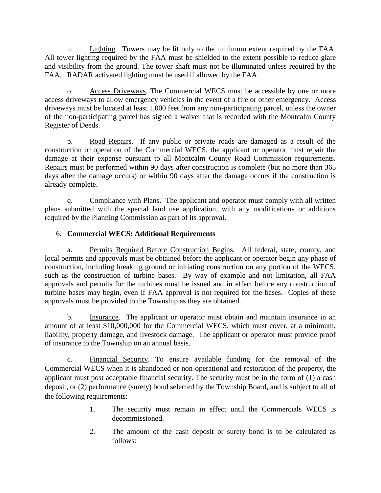n. Lighting. Towers may be lit only to the minimum extent required by the FAA. All tower lighting required by the FAA must be shielded to the extent possible to reduce glare and visibility from the ground. The tower shaft must not be illuminated unless required by the FAA. RADAR activated lighting must be used if allowed by the FAA.

o. Access Driveways. The Commercial WECS must be accessible by one or more access driveways to allow emergency vehicles in the event of a fire or other emergency. Access driveways must be located at least 1,000 feet from any non-participating parcel, unless the owner of the non-participating parcel has signed a waiver that is recorded with the Montcalm County Register of Deeds.

p. Road Repairs. If any public or private roads are damaged as a result of the construction or operation of the Commercial WECS, the applicant or operator must repair the damage at their expense pursuant to all Montcalm County Road Commission requirements. Repairs must be performed within 90 days after construction is complete (but no more than 365 days after the damage occurs) or within 90 days after the damage occurs if the construction is already complete.

q. Compliance with Plans. The applicant and operator must comply with all written plans submitted with the special land use application, with any modifications or additions required by the Planning Commission as part of its approval.

# 6. **Commercial WECS: Additional Requirements**

a. Permits Required Before Construction Begins. All federal, state, county, and local permits and approvals must be obtained before the applicant or operator begin any phase of construction, including breaking ground or initiating construction on any portion of the WECS, such as the construction of turbine bases. By way of example and not limitation, all FAA approvals and permits for the turbines must be issued and in effect before any construction of turbine bases may begin, even if FAA approval is not required for the bases. Copies of these approvals must be provided to the Township as they are obtained.

b. Insurance. The applicant or operator must obtain and maintain insurance in an amount of at least \$10,000,000 for the Commercial WECS, which must cover, at a minimum, liability, property damage, and livestock damage. The applicant or operator must provide proof of insurance to the Township on an annual basis.

c. Financial Security. To ensure available funding for the removal of the Commercial WECS when it is abandoned or non-operational and restoration of the property, the applicant must post acceptable financial security. The security must be in the form of (1) a cash deposit, or (2) performance (surety) bond selected by the Township Board, and is subject to all of the following requirements:

- 1. The security must remain in effect until the Commercials WECS is decommissioned.
- 2. The amount of the cash deposit or surety bond is to be calculated as follows: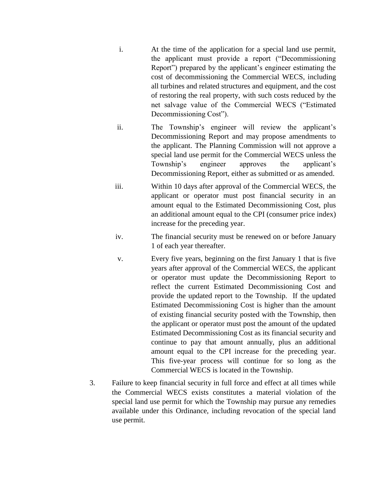- i. At the time of the application for a special land use permit, the applicant must provide a report ("Decommissioning Report") prepared by the applicant's engineer estimating the cost of decommissioning the Commercial WECS, including all turbines and related structures and equipment, and the cost of restoring the real property, with such costs reduced by the net salvage value of the Commercial WECS ("Estimated Decommissioning Cost").
- ii. The Township's engineer will review the applicant's Decommissioning Report and may propose amendments to the applicant. The Planning Commission will not approve a special land use permit for the Commercial WECS unless the Township's engineer approves the applicant's Decommissioning Report, either as submitted or as amended.
- iii. Within 10 days after approval of the Commercial WECS, the applicant or operator must post financial security in an amount equal to the Estimated Decommissioning Cost, plus an additional amount equal to the CPI (consumer price index) increase for the preceding year.
- iv. The financial security must be renewed on or before January 1 of each year thereafter.
- v. Every five years, beginning on the first January 1 that is five years after approval of the Commercial WECS, the applicant or operator must update the Decommissioning Report to reflect the current Estimated Decommissioning Cost and provide the updated report to the Township. If the updated Estimated Decommissioning Cost is higher than the amount of existing financial security posted with the Township, then the applicant or operator must post the amount of the updated Estimated Decommissioning Cost as its financial security and continue to pay that amount annually, plus an additional amount equal to the CPI increase for the preceding year. This five-year process will continue for so long as the Commercial WECS is located in the Township.
- 3. Failure to keep financial security in full force and effect at all times while the Commercial WECS exists constitutes a material violation of the special land use permit for which the Township may pursue any remedies available under this Ordinance, including revocation of the special land use permit.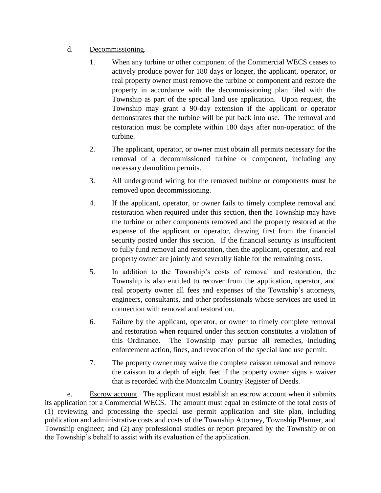# d. Decommissioning.

- 1. When any turbine or other component of the Commercial WECS ceases to actively produce power for 180 days or longer, the applicant, operator, or real property owner must remove the turbine or component and restore the property in accordance with the decommissioning plan filed with the Township as part of the special land use application. Upon request, the Township may grant a 90-day extension if the applicant or operator demonstrates that the turbine will be put back into use. The removal and restoration must be complete within 180 days after non-operation of the turbine.
- 2. The applicant, operator, or owner must obtain all permits necessary for the removal of a decommissioned turbine or component, including any necessary demolition permits.
- 3. All underground wiring for the removed turbine or components must be removed upon decommissioning.
- 4. If the applicant, operator, or owner fails to timely complete removal and restoration when required under this section, then the Township may have the turbine or other components removed and the property restored at the expense of the applicant or operator, drawing first from the financial security posted under this section. If the financial security is insufficient to fully fund removal and restoration, then the applicant, operator, and real property owner are jointly and severally liable for the remaining costs.
- 5. In addition to the Township's costs of removal and restoration, the Township is also entitled to recover from the application, operator, and real property owner all fees and expenses of the Township's attorneys, engineers, consultants, and other professionals whose services are used in connection with removal and restoration.
- 6. Failure by the applicant, operator, or owner to timely complete removal and restoration when required under this section constitutes a violation of this Ordinance. The Township may pursue all remedies, including enforcement action, fines, and revocation of the special land use permit.
- 7. The property owner may waive the complete caisson removal and remove the caisson to a depth of eight feet if the property owner signs a waiver that is recorded with the Montcalm Country Register of Deeds.

e. Escrow account. The applicant must establish an escrow account when it submits its application for a Commercial WECS. The amount must equal an estimate of the total costs of (1) reviewing and processing the special use permit application and site plan, including publication and administrative costs and costs of the Township Attorney, Township Planner, and Township engineer; and (2) any professional studies or report prepared by the Township or on the Township's behalf to assist with its evaluation of the application.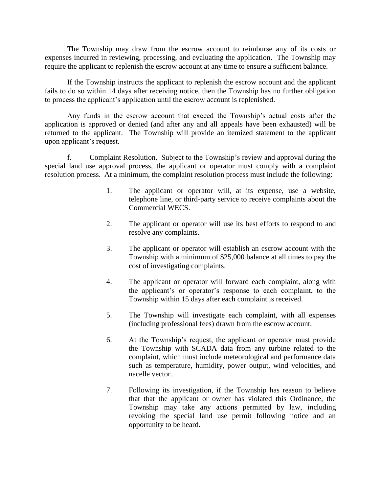The Township may draw from the escrow account to reimburse any of its costs or expenses incurred in reviewing, processing, and evaluating the application. The Township may require the applicant to replenish the escrow account at any time to ensure a sufficient balance.

If the Township instructs the applicant to replenish the escrow account and the applicant fails to do so within 14 days after receiving notice, then the Township has no further obligation to process the applicant's application until the escrow account is replenished.

Any funds in the escrow account that exceed the Township's actual costs after the application is approved or denied (and after any and all appeals have been exhausted) will be returned to the applicant. The Township will provide an itemized statement to the applicant upon applicant's request.

f. Complaint Resolution. Subject to the Township's review and approval during the special land use approval process, the applicant or operator must comply with a complaint resolution process. At a minimum, the complaint resolution process must include the following:

- 1. The applicant or operator will, at its expense, use a website, telephone line, or third-party service to receive complaints about the Commercial WECS.
- 2. The applicant or operator will use its best efforts to respond to and resolve any complaints.
- 3. The applicant or operator will establish an escrow account with the Township with a minimum of \$25,000 balance at all times to pay the cost of investigating complaints.
- 4. The applicant or operator will forward each complaint, along with the applicant's or operator's response to each complaint, to the Township within 15 days after each complaint is received.
- 5. The Township will investigate each complaint, with all expenses (including professional fees) drawn from the escrow account.
- 6. At the Township's request, the applicant or operator must provide the Township with SCADA data from any turbine related to the complaint, which must include meteorological and performance data such as temperature, humidity, power output, wind velocities, and nacelle vector.
- 7. Following its investigation, if the Township has reason to believe that that the applicant or owner has violated this Ordinance, the Township may take any actions permitted by law, including revoking the special land use permit following notice and an opportunity to be heard.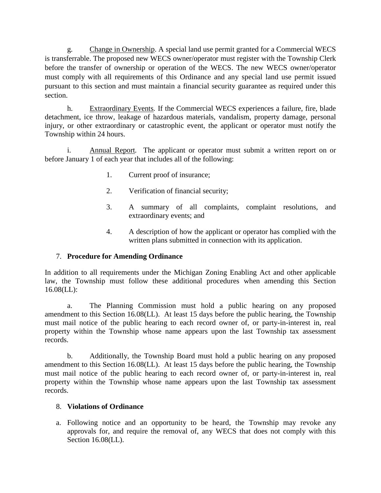g. Change in Ownership. A special land use permit granted for a Commercial WECS is transferrable. The proposed new WECS owner/operator must register with the Township Clerk before the transfer of ownership or operation of the WECS. The new WECS owner/operator must comply with all requirements of this Ordinance and any special land use permit issued pursuant to this section and must maintain a financial security guarantee as required under this section.

h. Extraordinary Events*.* If the Commercial WECS experiences a failure, fire, blade detachment, ice throw, leakage of hazardous materials, vandalism, property damage, personal injury, or other extraordinary or catastrophic event, the applicant or operator must notify the Township within 24 hours.

i. Annual Report*.*The applicant or operator must submit a written report on or before January 1 of each year that includes all of the following:

- 1. Current proof of insurance;
- 2. Verification of financial security;
- 3. A summary of all complaints, complaint resolutions, and extraordinary events; and
- 4. A description of how the applicant or operator has complied with the written plans submitted in connection with its application.

# 7. **Procedure for Amending Ordinance**

In addition to all requirements under the Michigan Zoning Enabling Act and other applicable law, the Township must follow these additional procedures when amending this Section 16.08(LL):

a. The Planning Commission must hold a public hearing on any proposed amendment to this Section 16.08(LL). At least 15 days before the public hearing, the Township must mail notice of the public hearing to each record owner of, or party-in-interest in, real property within the Township whose name appears upon the last Township tax assessment records.

b. Additionally, the Township Board must hold a public hearing on any proposed amendment to this Section 16.08(LL). At least 15 days before the public hearing, the Township must mail notice of the public hearing to each record owner of, or party-in-interest in, real property within the Township whose name appears upon the last Township tax assessment records.

## 8. **Violations of Ordinance**

a. Following notice and an opportunity to be heard, the Township may revoke any approvals for, and require the removal of, any WECS that does not comply with this Section 16.08(LL).